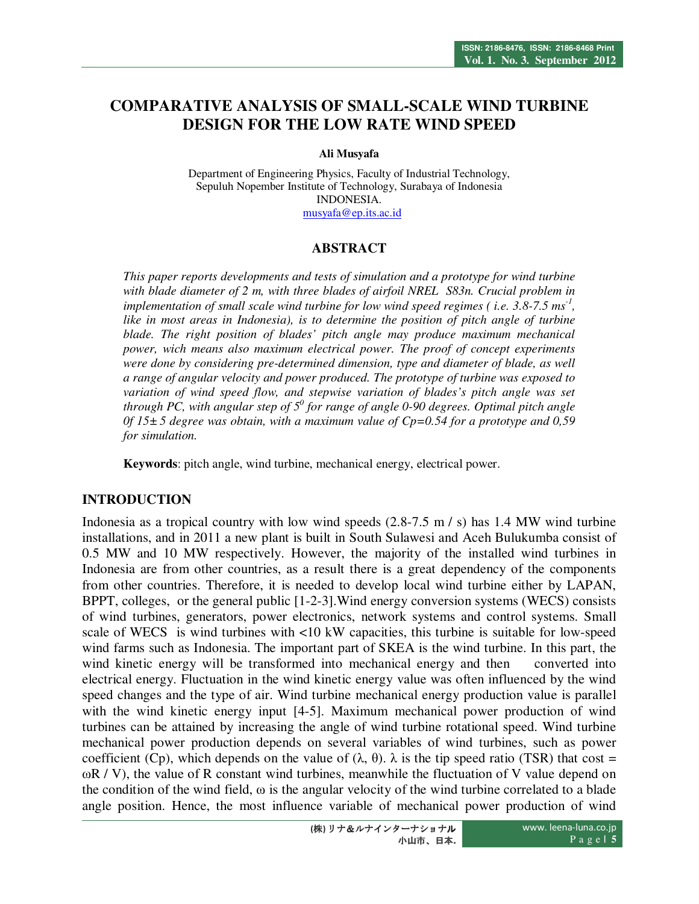# **COMPARATIVE ANALYSIS OF SMALL-SCALE WIND TURBINE DESIGN FOR THE LOW RATE WIND SPEED**

**Ali Musyafa** 

Department of Engineering Physics, Faculty of Industrial Technology, Sepuluh Nopember Institute of Technology, Surabaya of Indonesia INDONESIA. musyafa@ep.its.ac.id

### **ABSTRACT**

*This paper reports developments and tests of simulation and a prototype for wind turbine with blade diameter of 2 m, with three blades of airfoil NREL S83n. Crucial problem in implementation of small scale wind turbine for low wind speed regimes ( i.e. 3.8-7.5 ms-1 , like in most areas in Indonesia), is to determine the position of pitch angle of turbine*  blade. The right position of blades' pitch angle may produce maximum mechanical *power, wich means also maximum electrical power. The proof of concept experiments were done by considering pre-determined dimension, type and diameter of blade, as well a range of angular velocity and power produced. The prototype of turbine was exposed to variation of wind speed flow, and stepwise variation of blades's pitch angle was set through PC, with angular step of 5<sup>0</sup> for range of angle 0-90 degrees. Optimal pitch angle 0f 15± 5 degree was obtain, with a maximum value of Cp=0.54 for a prototype and 0,59 for simulation.* 

**Keywords**: pitch angle, wind turbine, mechanical energy, electrical power.

#### **INTRODUCTION**

Indonesia as a tropical country with low wind speeds  $(2.8-7.5 \text{ m/s})$  has 1.4 MW wind turbine installations, and in 2011 a new plant is built in South Sulawesi and Aceh Bulukumba consist of 0.5 MW and 10 MW respectively. However, the majority of the installed wind turbines in Indonesia are from other countries, as a result there is a great dependency of the components from other countries. Therefore, it is needed to develop local wind turbine either by LAPAN, BPPT, colleges, or the general public [1-2-3].Wind energy conversion systems (WECS) consists of wind turbines, generators, power electronics, network systems and control systems. Small scale of WECS is wind turbines with <10 kW capacities, this turbine is suitable for low-speed wind farms such as Indonesia. The important part of SKEA is the wind turbine. In this part, the wind kinetic energy will be transformed into mechanical energy and then converted into electrical energy. Fluctuation in the wind kinetic energy value was often influenced by the wind speed changes and the type of air. Wind turbine mechanical energy production value is parallel with the wind kinetic energy input [4-5]. Maximum mechanical power production of wind turbines can be attained by increasing the angle of wind turbine rotational speed. Wind turbine mechanical power production depends on several variables of wind turbines, such as power coefficient (Cp), which depends on the value of  $(\lambda, \theta)$ .  $\lambda$  is the tip speed ratio (TSR) that cost =  $\omega$ R / V), the value of R constant wind turbines, meanwhile the fluctuation of V value depend on the condition of the wind field,  $\omega$  is the angular velocity of the wind turbine correlated to a blade angle position. Hence, the most influence variable of mechanical power production of wind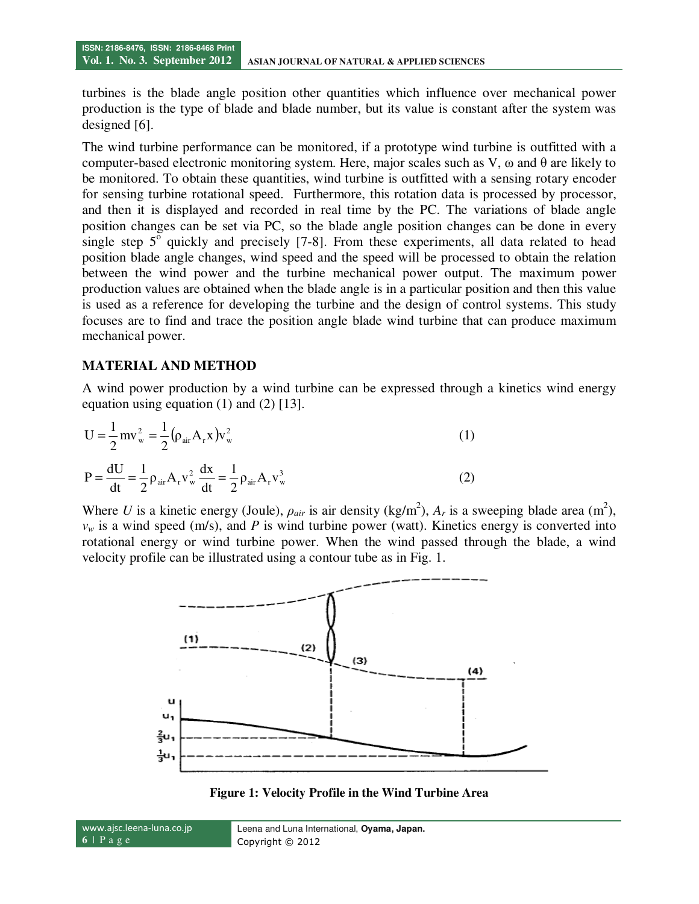turbines is the blade angle position other quantities which influence over mechanical power production is the type of blade and blade number, but its value is constant after the system was designed [6].

The wind turbine performance can be monitored, if a prototype wind turbine is outfitted with a computer-based electronic monitoring system. Here, major scales such as V, ω and θ are likely to be monitored. To obtain these quantities, wind turbine is outfitted with a sensing rotary encoder for sensing turbine rotational speed. Furthermore, this rotation data is processed by processor, and then it is displayed and recorded in real time by the PC. The variations of blade angle position changes can be set via PC, so the blade angle position changes can be done in every single step  $5^{\circ}$  quickly and precisely [7-8]. From these experiments, all data related to head position blade angle changes, wind speed and the speed will be processed to obtain the relation between the wind power and the turbine mechanical power output. The maximum power production values are obtained when the blade angle is in a particular position and then this value is used as a reference for developing the turbine and the design of control systems. This study focuses are to find and trace the position angle blade wind turbine that can produce maximum mechanical power.

#### **MATERIAL AND METHOD**

A wind power production by a wind turbine can be expressed through a kinetics wind energy equation using equation  $(1)$  and  $(2)$  [13].

$$
U = \frac{1}{2}mv_w^2 = \frac{1}{2}(\rho_{air}A_r x)v_w^2
$$
\n
$$
P = \frac{dU}{dt} = \frac{1}{2}\rho_{air}A_r v_w^2 \frac{dx}{dt} = \frac{1}{2}\rho_{air}A_r v_w^3
$$
\n(2)

Where *U* is a kinetic energy (Joule),  $\rho_{air}$  is air density (kg/m<sup>2</sup>),  $A_r$  is a sweeping blade area (m<sup>2</sup>),  $v_w$  is a wind speed (m/s), and *P* is wind turbine power (watt). Kinetics energy is converted into rotational energy or wind turbine power. When the wind passed through the blade, a wind velocity profile can be illustrated using a contour tube as in Fig. 1.



**Figure 1: Velocity Profile in the Wind Turbine Area** 

www.ajsc.leena-luna.co.jp **6** | P a g e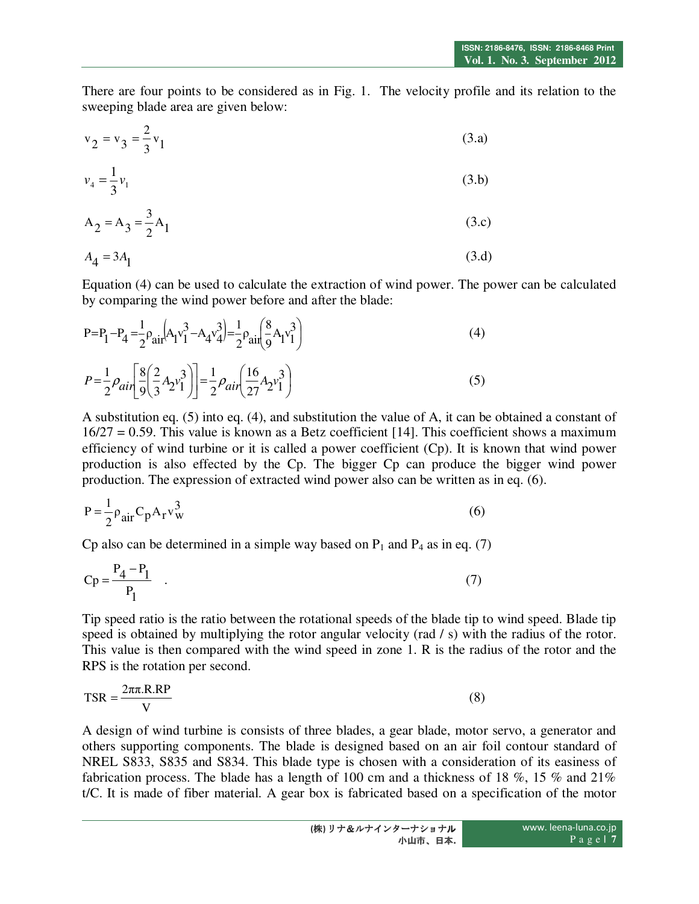There are four points to be considered as in Fig. 1. The velocity profile and its relation to the sweeping blade area are given below:

$$
v_2 = v_3 = \frac{2}{3}v_1
$$
 (3.a)

$$
v_4 = \frac{1}{3}v_1\tag{3.b}
$$

$$
A_2 = A_3 = \frac{3}{2}A_1
$$
 (3.c)

$$
A_4 = 3A_1 \tag{3. d}
$$

Equation (4) can be used to calculate the extraction of wind power. The power can be calculated by comparing the wind power before and after the blade:

$$
P = P_1 - P_4 = \frac{1}{2} \rho_{air} \left[ A_1 v_1^3 - A_4 v_4^3 \right] = \frac{1}{2} \rho_{air} \left( \frac{8}{9} A_1 v_1^3 \right)
$$
\n
$$
P = \frac{1}{2} \rho_{air} \left[ \frac{8}{9} \left( \frac{2}{3} A_2 v_1^3 \right) \right] = \frac{1}{2} \rho_{air} \left( \frac{16}{27} A_2 v_1^3 \right)
$$
\n(5)

A substitution eq. (5) into eq. (4), and substitution the value of A, it can be obtained a constant of  $16/27 = 0.59$ . This value is known as a Betz coefficient [14]. This coefficient shows a maximum efficiency of wind turbine or it is called a power coefficient (Cp). It is known that wind power production is also effected by the Cp. The bigger Cp can produce the bigger wind power production. The expression of extracted wind power also can be written as in eq. (6).

$$
P = \frac{1}{2} \rho_{air} C_p A_r v_w^3
$$
 (6)

Cp also can be determined in a simple way based on  $P_1$  and  $P_4$  as in eq. (7)

$$
Cp = \frac{P_4 - P_1}{P_1} \quad . \tag{7}
$$

Tip speed ratio is the ratio between the rotational speeds of the blade tip to wind speed. Blade tip speed is obtained by multiplying the rotor angular velocity (rad / s) with the radius of the rotor. This value is then compared with the wind speed in zone 1. R is the radius of the rotor and the RPS is the rotation per second.

$$
TSR = \frac{2\pi\pi R.RP}{V}
$$
 (8)

A design of wind turbine is consists of three blades, a gear blade, motor servo, a generator and others supporting components. The blade is designed based on an air foil contour standard of NREL S833, S835 and S834. This blade type is chosen with a consideration of its easiness of fabrication process. The blade has a length of 100 cm and a thickness of 18 %, 15 % and 21% t/C. It is made of fiber material. A gear box is fabricated based on a specification of the motor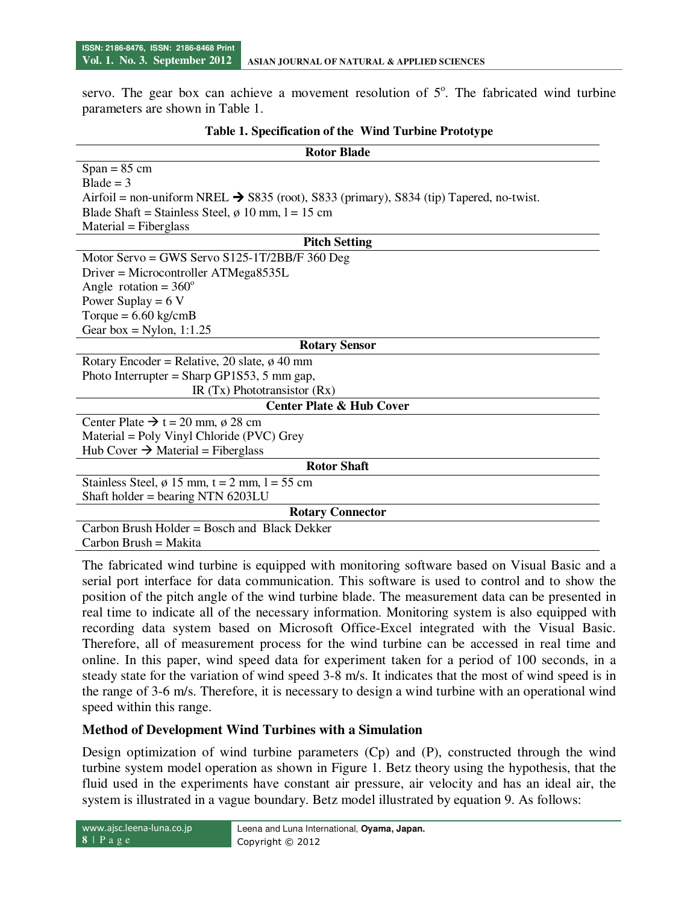servo. The gear box can achieve a movement resolution of  $5^\circ$ . The fabricated wind turbine parameters are shown in Table 1.

| <b>Rotor Blade</b>                                                                                  |  |  |  |  |  |
|-----------------------------------------------------------------------------------------------------|--|--|--|--|--|
| $Span = 85$ cm                                                                                      |  |  |  |  |  |
| $B$ lade = 3                                                                                        |  |  |  |  |  |
| Airfoil = non-uniform NREL $\rightarrow$ S835 (root), S833 (primary), S834 (tip) Tapered, no-twist. |  |  |  |  |  |
| Blade Shaft = Stainless Steel, $\phi$ 10 mm, 1 = 15 cm                                              |  |  |  |  |  |
| $Material = Fiberglass$                                                                             |  |  |  |  |  |
| <b>Pitch Setting</b>                                                                                |  |  |  |  |  |
| Motor Servo = GWS Servo $S125-1T/2BB/F 360$ Deg                                                     |  |  |  |  |  |
| $Driver = Microcontroller ATMega8535L$                                                              |  |  |  |  |  |
| Angle rotation = $360^\circ$                                                                        |  |  |  |  |  |
| Power Suplay = $6V$                                                                                 |  |  |  |  |  |
| Torque = $6.60 \text{ kg/cmB}$                                                                      |  |  |  |  |  |
| Gear box = Nylon, $1:1.25$                                                                          |  |  |  |  |  |
| <b>Rotary Sensor</b>                                                                                |  |  |  |  |  |
| Rotary Encoder = Relative, 20 slate, $\phi$ 40 mm                                                   |  |  |  |  |  |
| Photo Interrupter = Sharp GP1S53, 5 mm gap,                                                         |  |  |  |  |  |
| IR $(Tx)$ Phototransistor $(Rx)$                                                                    |  |  |  |  |  |
| <b>Center Plate &amp; Hub Cover</b>                                                                 |  |  |  |  |  |
| Center Plate $\rightarrow t = 20$ mm, $\phi$ 28 cm                                                  |  |  |  |  |  |
| Material = Poly Vinyl Chloride (PVC) Grey                                                           |  |  |  |  |  |
| Hub Cover $\rightarrow$ Material = Fiberglass                                                       |  |  |  |  |  |
| <b>Rotor Shaft</b>                                                                                  |  |  |  |  |  |
| Stainless Steel, $\phi$ 15 mm, t = 2 mm, 1 = 55 cm                                                  |  |  |  |  |  |
| Shaft holder = bearing NTN $6203LU$                                                                 |  |  |  |  |  |
| <b>Rotary Connector</b>                                                                             |  |  |  |  |  |
| Carbon Brush Holder = Bosch and Black Dekker                                                        |  |  |  |  |  |
| Carbon Brush = Makita                                                                               |  |  |  |  |  |

#### **Table 1. Specification of the Wind Turbine Prototype**

The fabricated wind turbine is equipped with monitoring software based on Visual Basic and a serial port interface for data communication. This software is used to control and to show the position of the pitch angle of the wind turbine blade. The measurement data can be presented in real time to indicate all of the necessary information. Monitoring system is also equipped with recording data system based on Microsoft Office-Excel integrated with the Visual Basic. Therefore, all of measurement process for the wind turbine can be accessed in real time and online. In this paper, wind speed data for experiment taken for a period of 100 seconds, in a steady state for the variation of wind speed 3-8 m/s. It indicates that the most of wind speed is in the range of 3-6 m/s. Therefore, it is necessary to design a wind turbine with an operational wind speed within this range.

# **Method of Development Wind Turbines with a Simulation**

Design optimization of wind turbine parameters (Cp) and (P), constructed through the wind turbine system model operation as shown in Figure 1. Betz theory using the hypothesis, that the fluid used in the experiments have constant air pressure, air velocity and has an ideal air, the system is illustrated in a vague boundary. Betz model illustrated by equation 9. As follows: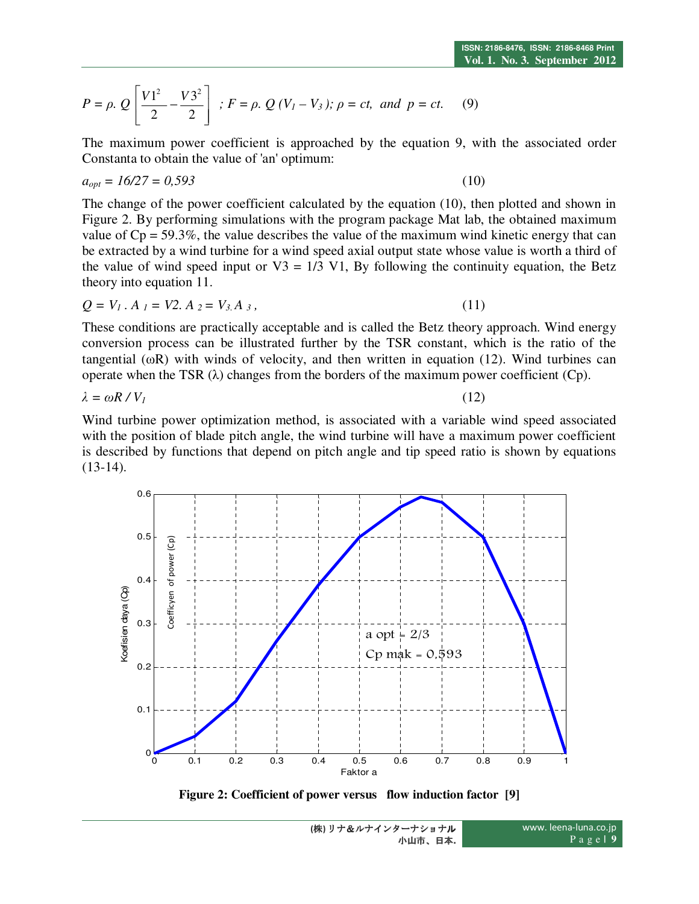$$
P = \rho. Q\left[\frac{V1^2}{2} - \frac{V3^2}{2}\right]; F = \rho. Q (V_1 - V_3); \rho = ct, and p = ct.
$$
 (9)

The maximum power coefficient is approached by the equation 9, with the associated order Constanta to obtain the value of 'an' optimum:

$$
a_{opt} = 16/27 = 0,593 \tag{10}
$$

The change of the power coefficient calculated by the equation (10), then plotted and shown in Figure 2. By performing simulations with the program package Mat lab, the obtained maximum value of  $Cp = 59.3\%$ , the value describes the value of the maximum wind kinetic energy that can be extracted by a wind turbine for a wind speed axial output state whose value is worth a third of the value of wind speed input or  $V3 = 1/3$  V1, By following the continuity equation, the Betz theory into equation 11.

$$
Q = V_1 \cdot A_1 = V2 \cdot A_2 = V_{3} A_3, \qquad (11)
$$

These conditions are practically acceptable and is called the Betz theory approach. Wind energy conversion process can be illustrated further by the TSR constant, which is the ratio of the tangential ( $\omega$ R) with winds of velocity, and then written in equation (12). Wind turbines can operate when the TSR (λ) changes from the borders of the maximum power coefficient (Cp).

$$
\lambda = \omega R / V_I \tag{12}
$$

Wind turbine power optimization method, is associated with a variable wind speed associated with the position of blade pitch angle, the wind turbine will have a maximum power coefficient is described by functions that depend on pitch angle and tip speed ratio is shown by equations  $(13-14)$ .



**Figure 2: Coefficient of power versus flow induction factor [9]**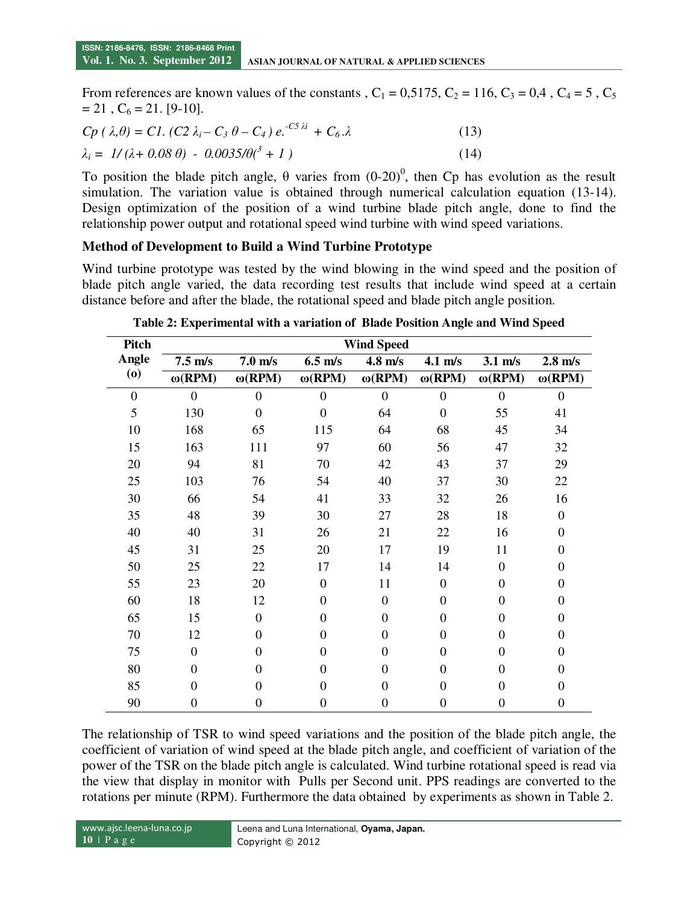From references are known values of the constants ,  $C_1 = 0.5175$ ,  $C_2 = 116$ ,  $C_3 = 0.4$ ,  $C_4 = 5$ ,  $C_5$  $= 21$ ,  $C_6 = 21$ . [9-10].

$$
Cp (\lambda, \theta) = C1. (C2 \lambda_i - C_3 \theta - C_4) e^{-C_3 \lambda i} + C_6 \lambda
$$
 (13)  

$$
\lambda_i = 1/(\lambda + 0.08 \theta) - 0.0035/\theta(^3 + 1)
$$
 (14)

To position the blade pitch angle,  $\theta$  varies from  $(0-20)^0$ , then Cp has evolution as the result simulation. The variation value is obtained through numerical calculation equation (13-14). Design optimization of the position of a wind turbine blade pitch angle, done to find the relationship power output and rotational speed wind turbine with wind speed variations.

#### **Method of Development to Build a Wind Turbine Prototype**

Wind turbine prototype was tested by the wind blowing in the wind speed and the position of blade pitch angle varied, the data recording test results that include wind speed at a certain distance before and after the blade, the rotational speed and blade pitch angle position.

| Pitch                                    | <b>Wind Speed</b> |                      |                      |                      |                      |                      |                  |
|------------------------------------------|-------------------|----------------------|----------------------|----------------------|----------------------|----------------------|------------------|
| Angle                                    | $7.5 \text{ m/s}$ | $7.0 \text{ m/s}$    | $6.5$ m/s            | $4.8$ m/s            | $4.1 \text{ m/s}$    | $3.1 \text{ m/s}$    | $2.8$ m/s        |
| $\boldsymbol{\left( \mathbf{0}\right) }$ | $\omega(RPM)$     | $\omega(\text{RPM})$ | $\omega(\text{RPM})$ | $\omega(\text{RPM})$ | $\omega(\text{RPM})$ | $\omega(\text{RPM})$ | $\omega$ (RPM)   |
| $\boldsymbol{0}$                         | $\theta$          | $\theta$             | $\mathbf{0}$         | $\mathbf{0}$         | $\theta$             | $\overline{0}$       | $\boldsymbol{0}$ |
| 5                                        | 130               | $\overline{0}$       | $\overline{0}$       | 64                   | $\boldsymbol{0}$     | 55                   | 41               |
| 10                                       | 168               | 65                   | 115                  | 64                   | 68                   | 45                   | 34               |
| 15                                       | 163               | 111                  | 97                   | 60                   | 56                   | 47                   | 32               |
| 20                                       | 94                | 81                   | 70                   | 42                   | 43                   | 37                   | 29               |
| 25                                       | 103               | 76                   | 54                   | 40                   | 37                   | 30                   | 22               |
| 30                                       | 66                | 54                   | 41                   | 33                   | 32                   | 26                   | 16               |
| 35                                       | 48                | 39                   | 30                   | 27                   | 28                   | 18                   | $\boldsymbol{0}$ |
| 40                                       | 40                | 31                   | 26                   | 21                   | 22                   | 16                   | $\overline{0}$   |
| 45                                       | 31                | 25                   | 20                   | 17                   | 19                   | 11                   | 0                |
| 50                                       | 25                | 22                   | 17                   | 14                   | 14                   | $\overline{0}$       | $\Omega$         |
| 55                                       | 23                | 20                   | $\overline{0}$       | 11                   | $\boldsymbol{0}$     | $\theta$             | $\boldsymbol{0}$ |
| 60                                       | 18                | 12                   | $\mathbf{0}$         | $\overline{0}$       | $\overline{0}$       | $\theta$             | $\Omega$         |
| 65                                       | 15                | $\theta$             | $\mathbf{0}$         | $\overline{0}$       | $\overline{0}$       | $\theta$             | $\Omega$         |
| 70                                       | 12                | $\overline{0}$       | $\mathbf{0}$         | $\overline{0}$       | $\overline{0}$       | $\theta$             | $\boldsymbol{0}$ |
| 75                                       | $\Omega$          | $\Omega$             | $\Omega$             | $\Omega$             | $\theta$             | $\theta$             | $\Omega$         |
| 80                                       | $\Omega$          | $\Omega$             | $\overline{0}$       | $\overline{0}$       | $\theta$             | $\overline{0}$       | $\Omega$         |
| 85                                       | $\overline{0}$    | $\Omega$             | $\mathbf{0}$         | $\overline{0}$       | $\boldsymbol{0}$     | $\overline{0}$       | $\boldsymbol{0}$ |
| 90                                       | $\overline{0}$    | $\overline{0}$       | $\overline{0}$       | $\theta$             | $\mathbf{0}$         | $\mathbf{0}$         | $\boldsymbol{0}$ |

**Table 2: Experimental with a variation of Blade Position Angle and Wind Speed** 

The relationship of TSR to wind speed variations and the position of the blade pitch angle, the coefficient of variation of wind speed at the blade pitch angle, and coefficient of variation of the power of the TSR on the blade pitch angle is calculated. Wind turbine rotational speed is read via the view that display in monitor with Pulls per Second unit. PPS readings are converted to the rotations per minute (RPM). Furthermore the data obtained by experiments as shown in Table 2.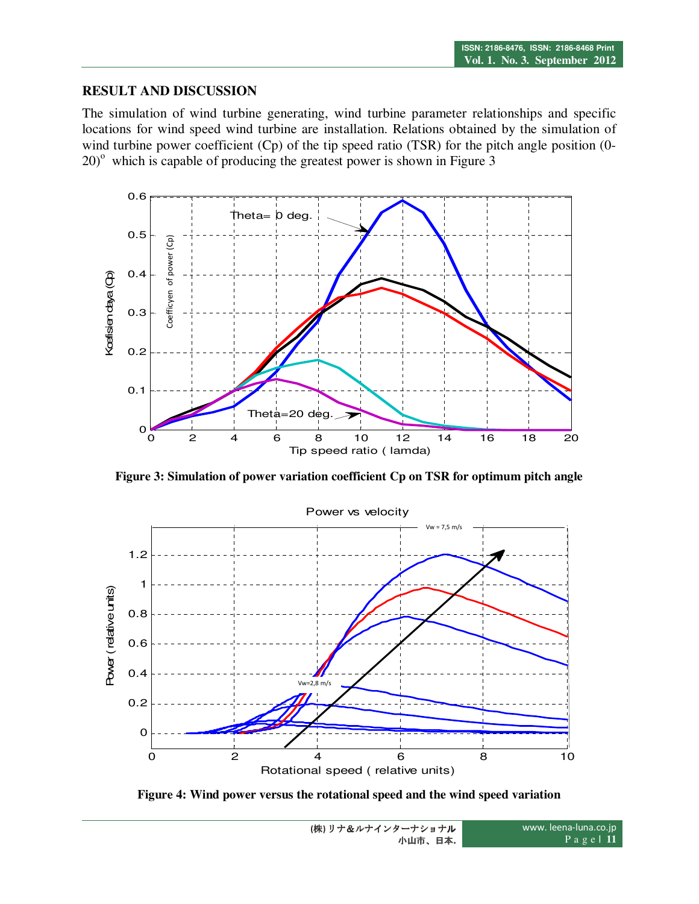### **RESULT AND DISCUSSION**

The simulation of wind turbine generating, wind turbine parameter relationships and specific locations for wind speed wind turbine are installation. Relations obtained by the simulation of wind turbine power coefficient (Cp) of the tip speed ratio (TSR) for the pitch angle position (0- $20)$ <sup>o</sup> which is capable of producing the greatest power is shown in Figure 3



**Figure 3: Simulation of power variation coefficient Cp on TSR for optimum pitch angle** 



**Figure 4: Wind power versus the rotational speed and the wind speed variation**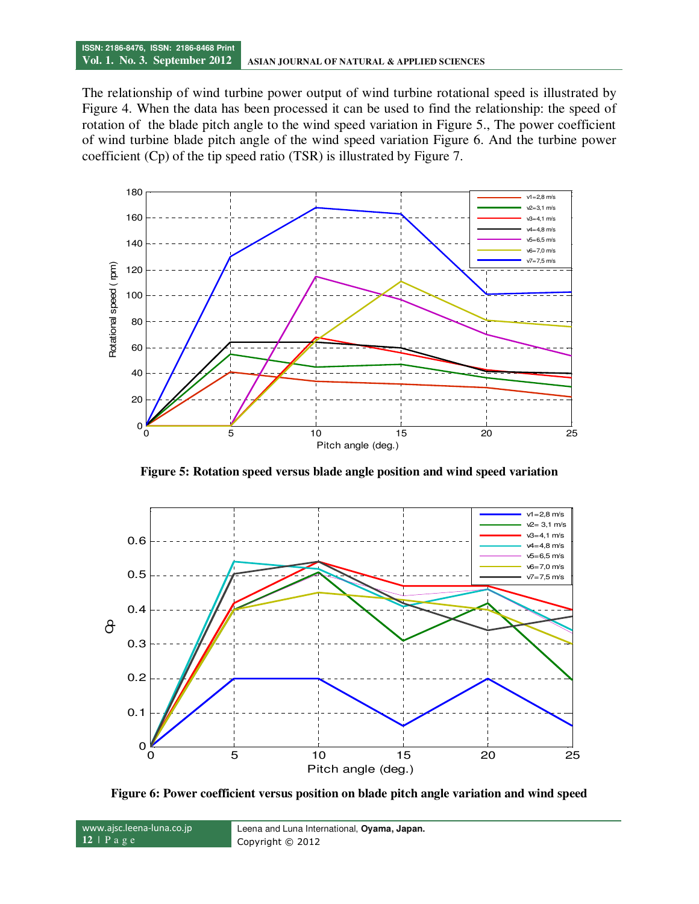#### **ISSN: 2186-8476, ISSN: 2186-8468 Print Vol. 1. No. 3. September 2012 ASIAN JOURNAL OF NATURAL & APPLIED SCIENCES**

The relationship of wind turbine power output of wind turbine rotational speed is illustrated by Figure 4. When the data has been processed it can be used to find the relationship: the speed of rotation of the blade pitch angle to the wind speed variation in Figure 5., The power coefficient of wind turbine blade pitch angle of the wind speed variation Figure 6. And the turbine power coefficient (Cp) of the tip speed ratio (TSR) is illustrated by Figure 7.



**Figure 5: Rotation speed versus blade angle position and wind speed variation** 



**Figure 6: Power coefficient versus position on blade pitch angle variation and wind speed** 

www.ajsc.leena-luna.co.jp **12** | P a g e Leena and Luna International, **Oyama, Japan.**  Copyright © 2012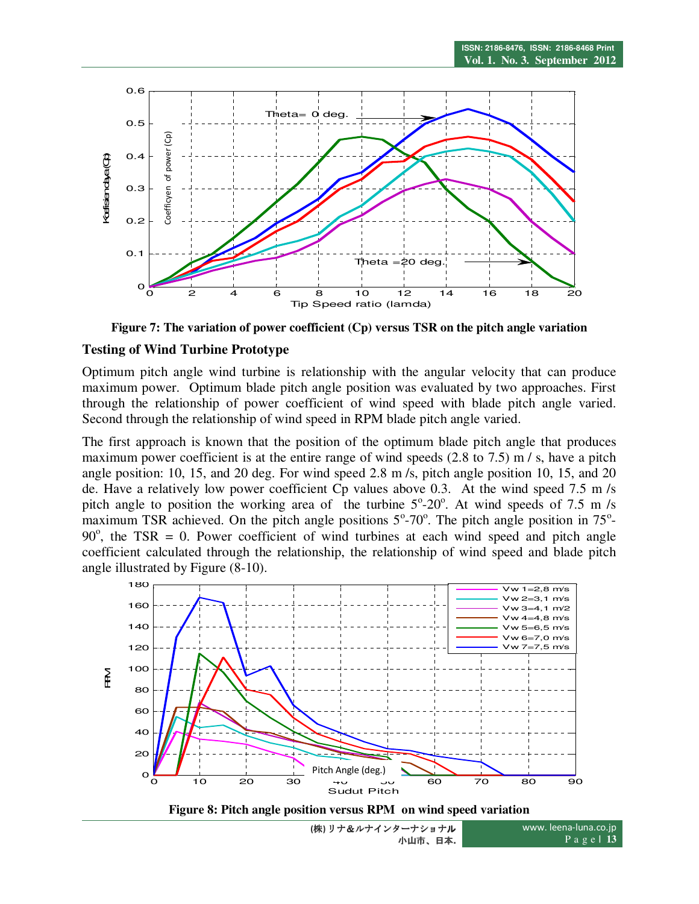

**Figure 7: The variation of power coefficient (Cp) versus TSR on the pitch angle variation** 

#### **Testing of Wind Turbine Prototype**

Optimum pitch angle wind turbine is relationship with the angular velocity that can produce maximum power. Optimum blade pitch angle position was evaluated by two approaches. First through the relationship of power coefficient of wind speed with blade pitch angle varied. Second through the relationship of wind speed in RPM blade pitch angle varied.

The first approach is known that the position of the optimum blade pitch angle that produces maximum power coefficient is at the entire range of wind speeds  $(2.8 \text{ to } 7.5)$  m/s, have a pitch angle position: 10, 15, and 20 deg. For wind speed 2.8 m /s, pitch angle position 10, 15, and 20 de. Have a relatively low power coefficient Cp values above 0.3. At the wind speed 7.5 m/s pitch angle to position the working area of the turbine  $5^{\circ}$ -20 $^{\circ}$ . At wind speeds of 7.5 m/s maximum TSR achieved. On the pitch angle positions  $5^{\circ}$ -70°. The pitch angle position in 75°- $90^\circ$ , the TSR = 0. Power coefficient of wind turbines at each wind speed and pitch angle coefficient calculated through the relationship, the relationship of wind speed and blade pitch angle illustrated by Figure (8-10).



**Figure 8: Pitch angle position versus RPM on wind speed variation** 

**(**株**)** リナ&ルナインターナショナル 小山市、日本**.**

www. leena-luna.co.jp P a g e **| 13**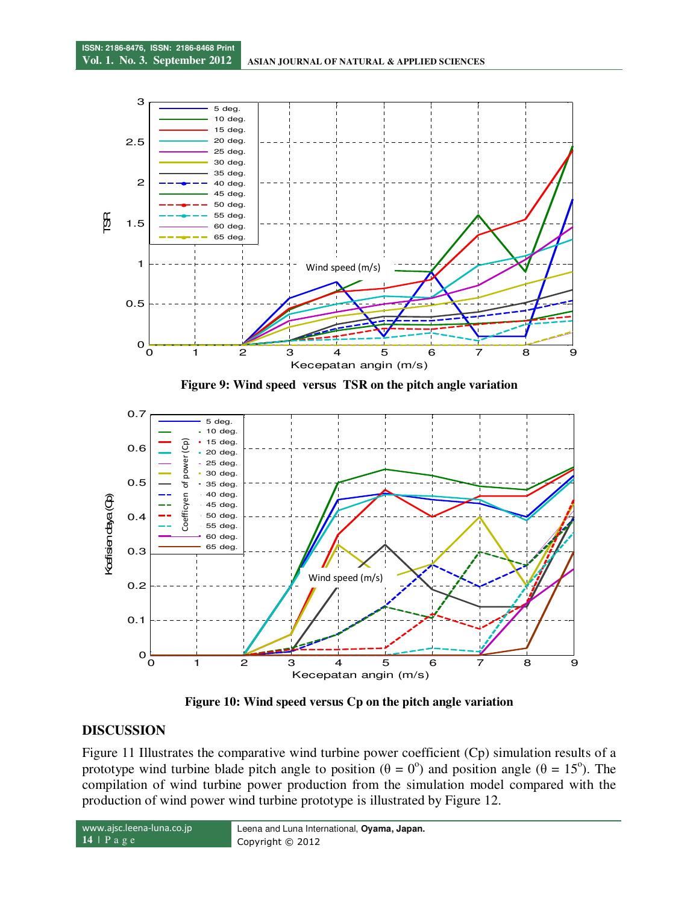

**Figure 9: Wind speed versus TSR on the pitch angle variation** 



**Figure 10: Wind speed versus Cp on the pitch angle variation** 

#### **DISCUSSION**

Figure 11 Illustrates the comparative wind turbine power coefficient (Cp) simulation results of a prototype wind turbine blade pitch angle to position ( $\theta = 0^{\circ}$ ) and position angle ( $\theta = 15^{\circ}$ ). The compilation of wind turbine power production from the simulation model compared with the production of wind power wind turbine prototype is illustrated by Figure 12.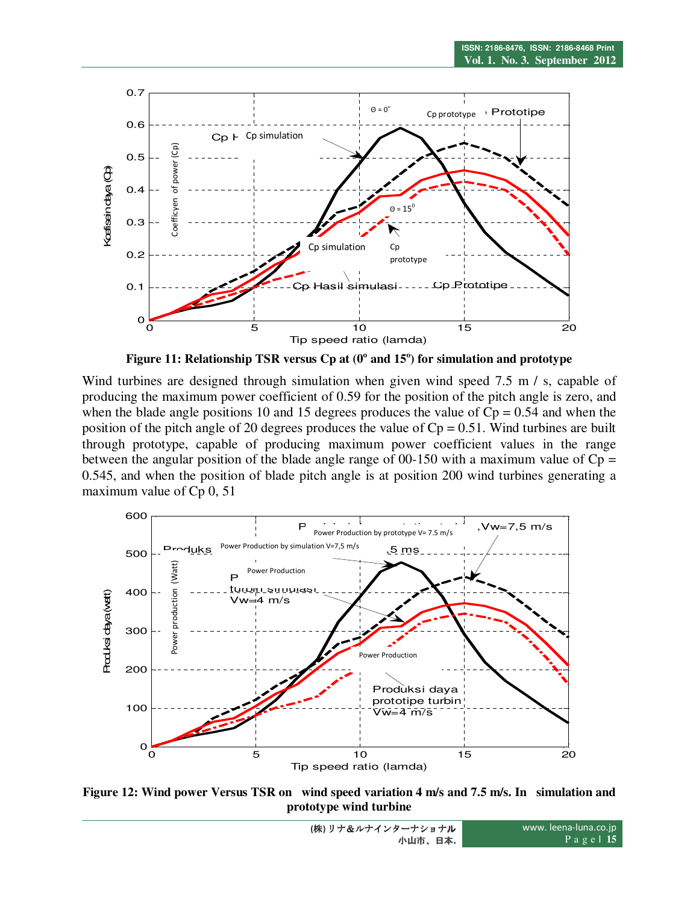

Figure 11: Relationship TSR versus Cp at (0<sup>o</sup> and 15<sup>o</sup>) for simulation and prototype

Wind turbines are designed through simulation when given wind speed 7.5 m / s, capable of producing the maximum power coefficient of 0.59 for the position of the pitch angle is zero, and when the blade angle positions 10 and 15 degrees produces the value of  $Cp = 0.54$  and when the position of the pitch angle of 20 degrees produces the value of  $Cp = 0.51$ . Wind turbines are built through prototype, capable of producing maximum power coefficient values in the range between the angular position of the blade angle range of 00-150 with a maximum value of  $Cp =$ 0.545, and when the position of blade pitch angle is at position 200 wind turbines generating a maximum value of Cp 0, 51



**Figure 12: Wind power Versus TSR on wind speed variation 4 m/s and 7.5 m/s. In simulation and prototype wind turbine**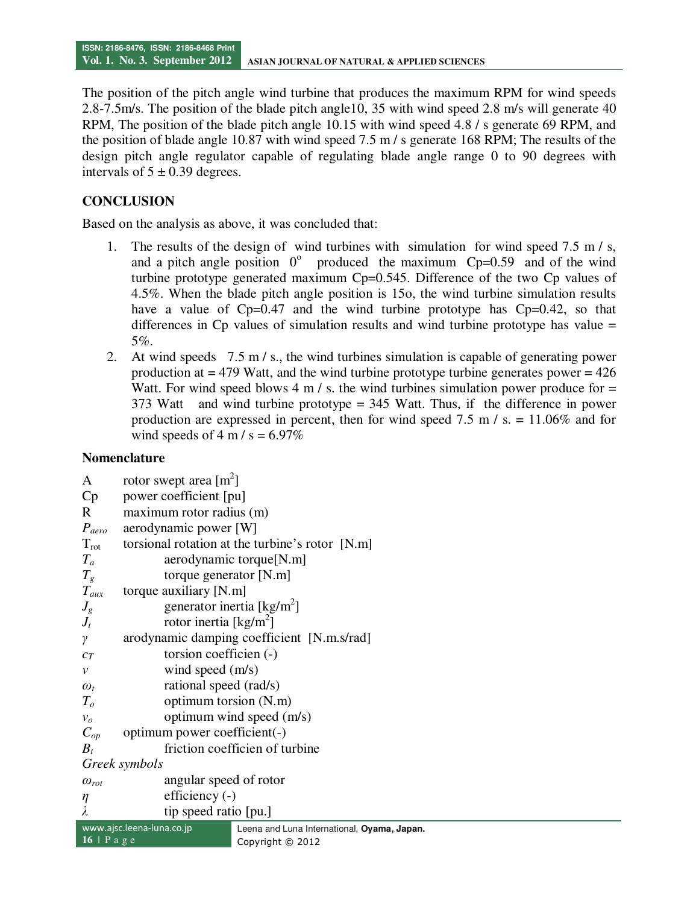The position of the pitch angle wind turbine that produces the maximum RPM for wind speeds 2.8-7.5m/s. The position of the blade pitch angle10, 35 with wind speed 2.8 m/s will generate 40 RPM, The position of the blade pitch angle 10.15 with wind speed 4.8 / s generate 69 RPM, and the position of blade angle 10.87 with wind speed 7.5 m / s generate 168 RPM; The results of the design pitch angle regulator capable of regulating blade angle range 0 to 90 degrees with intervals of  $5 \pm 0.39$  degrees.

# **CONCLUSION**

Based on the analysis as above, it was concluded that:

- 1. The results of the design of wind turbines with simulation for wind speed 7.5 m / s, and a pitch angle position  $0^{\circ}$  produced the maximum Cp=0.59 and of the wind turbine prototype generated maximum Cp=0.545. Difference of the two Cp values of 4.5%. When the blade pitch angle position is 15o, the wind turbine simulation results have a value of  $Cp=0.47$  and the wind turbine prototype has  $Cp=0.42$ , so that differences in  $C_p$  values of simulation results and wind turbine prototype has value = 5%.
- 2. At wind speeds 7.5 m / s., the wind turbines simulation is capable of generating power production at  $=$  479 Watt, and the wind turbine prototype turbine generates power  $=$  426 Watt. For wind speed blows 4 m / s. the wind turbines simulation power produce for  $=$ 373 Watt and wind turbine prototype = 345 Watt. Thus, if the difference in power production are expressed in percent, then for wind speed 7.5 m  $\ell$  s. = 11.06% and for wind speeds of 4 m / s =  $6.97\%$

## **Nomenclature**

| A                     | rotor swept area $[m^2]$                                                 |  |  |  |  |
|-----------------------|--------------------------------------------------------------------------|--|--|--|--|
| Cp                    | power coefficient [pu]                                                   |  |  |  |  |
| R                     | maximum rotor radius (m)                                                 |  |  |  |  |
| $P_{aero}$            | aerodynamic power [W]                                                    |  |  |  |  |
| $T_{\rm rot}$         | torsional rotation at the turbine's rotor [N.m]                          |  |  |  |  |
| $T_a$                 | aerodynamic torque[N.m]                                                  |  |  |  |  |
| $T_{g}$               | torque generator $[N.m]$                                                 |  |  |  |  |
| $T_{aux}$             | torque auxiliary [N.m]                                                   |  |  |  |  |
| $J_g$                 | generator inertia [kg/m <sup>2</sup> ]                                   |  |  |  |  |
| $J_t$                 | rotor inertia [ $\text{kg/m}^2$ ]                                        |  |  |  |  |
| γ                     | arodynamic damping coefficient [N.m.s/rad]                               |  |  |  |  |
| $c_T$                 | torsion coefficien (-)                                                   |  |  |  |  |
| $\mathcal V$          | wind speed $(m/s)$                                                       |  |  |  |  |
| $\omega_t$            | rational speed (rad/s)                                                   |  |  |  |  |
| $T_{o}$               | optimum torsion (N.m)                                                    |  |  |  |  |
| $v_o$                 | optimum wind speed (m/s)                                                 |  |  |  |  |
| $C_{op}$              | optimum power coefficient(-)                                             |  |  |  |  |
| $B_t$                 | friction coefficien of turbine                                           |  |  |  |  |
| Greek symbols         |                                                                          |  |  |  |  |
| $\omega_{\text{rot}}$ | angular speed of rotor                                                   |  |  |  |  |
| $\eta$                | efficiency (-)                                                           |  |  |  |  |
|                       | tip speed ratio [pu.]                                                    |  |  |  |  |
|                       | www.ajsc.leena-luna.co.jp<br>Leena and Luna International, Oyama, Japan. |  |  |  |  |
| $16$   P a g e        | Copyright © 2012                                                         |  |  |  |  |